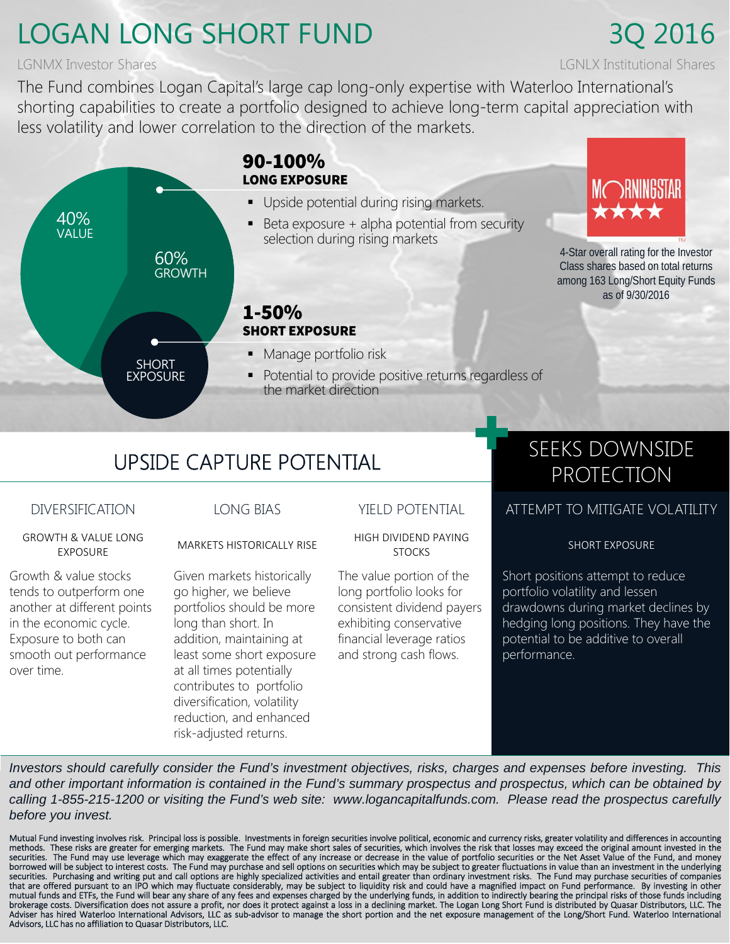## LOGAN LONG SHORT FUND 3Q 2016

## LGNMX Investor Shares LGNLX Institutional Shares

The Fund combines Logan Capital's large cap long-only expertise with Waterloo International's shorting capabilities to create a portfolio designed to achieve long-term capital appreciation with less volatility and lower correlation to the direction of the markets.



# UPSIDE CAPTURE POTENTIAL SEEKS DOWNSIDE

GROWTH & VALUE LONG

Growth & value stocks tends to outperform one another at different points in the economic cycle. Exposure to both can smooth out performance over time.

Given markets historically go higher, we believe portfolios should be more long than short. In addition, maintaining at least some short exposure at all times potentially contributes to portfolio diversification, volatility reduction, and enhanced risk-adjusted returns.

EXPOSURE MARKETS HISTORICALLY RISE HIGH DIVIDEND PAYING

The value portion of the long portfolio looks for consistent dividend payers exhibiting conservative financial leverage ratios and strong cash flows.

# PROTECTION

## DIVERSIFICATION LONG BIAS YIELD POTENTIAL ATTEMPT TO MITIGATE VOLATILITY

SHORT EXPOSURE

Short positions attempt to reduce portfolio volatility and lessen drawdowns during market declines by hedging long positions. They have the potential to be additive to overall performance.

*Investors should carefully consider the Fund's investment objectives, risks, charges and expenses before investing. This and other important information is contained in the Fund's summary prospectus and prospectus, which can be obtained by calling 1-855-215-1200 or visiting the Fund's web site: www.logancapitalfunds.com. Please read the prospectus carefully before you invest.*

Mutual Fund investing involves risk. Principal loss is possible. Investments in foreign securities involve political, economic and currency risks, greater volatility and differences in accounting<br>methods. These risks ar securities. The Fund may use leverage which may exaggerate the effect of any increase or decrease in the value of portfolio securities or the Net Asset Value of the Fund, and money<br>borrowed will be subject to interest cost that are offered pursuant to an IPO which may fluctuate considerably, may be subject to liquidity risk and could have a magnified impact on Fund performance. By investing in other<br>mutual funds and ETFs, the Fund will bear Adviser has hired Waterloo International Advisors, LLC as sub‐advisor to manage the short portion and the net exposure management of the Long/Short Fund. Waterloo International Advisors, LLC has no affiliation to Quasar Distributors, LLC.